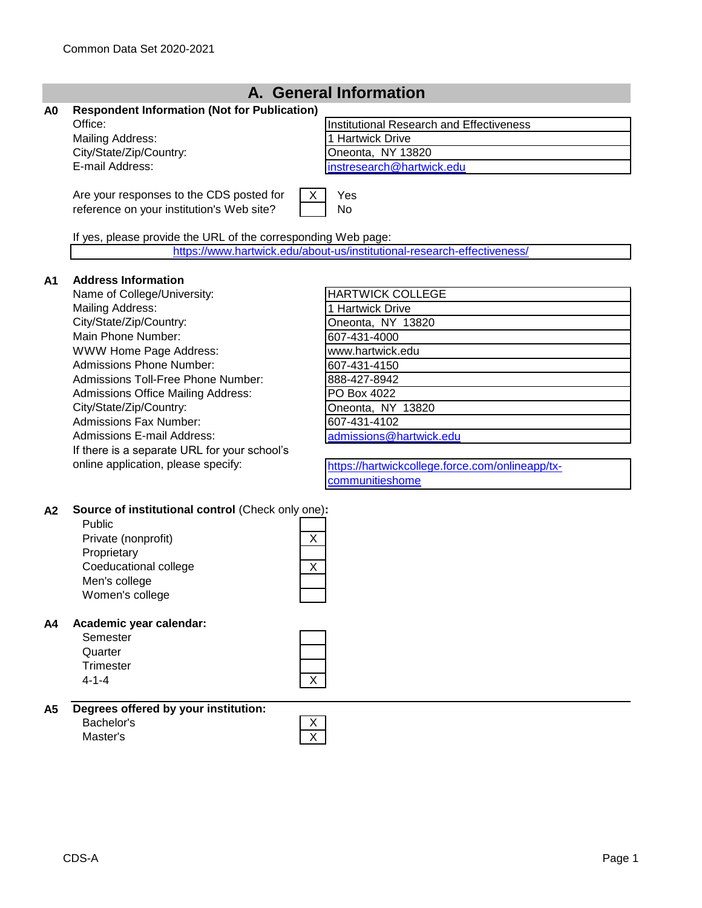|                | A. General Information                                                                                                                                                                                                                                                                                                                                                                                                                                                        |                                                                                                                                                                                                                                                                                           |  |  |  |
|----------------|-------------------------------------------------------------------------------------------------------------------------------------------------------------------------------------------------------------------------------------------------------------------------------------------------------------------------------------------------------------------------------------------------------------------------------------------------------------------------------|-------------------------------------------------------------------------------------------------------------------------------------------------------------------------------------------------------------------------------------------------------------------------------------------|--|--|--|
| A <sub>0</sub> | <b>Respondent Information (Not for Publication)</b><br>Office:<br><b>Mailing Address:</b><br>City/State/Zip/Country:<br>E-mail Address:                                                                                                                                                                                                                                                                                                                                       | Institutional Research and Effectiveness<br>1 Hartwick Drive<br>Oneonta, NY 13820<br>instresearch@hartwick.edu                                                                                                                                                                            |  |  |  |
|                | Are your responses to the CDS posted for<br>reference on your institution's Web site?<br>If yes, please provide the URL of the corresponding Web page:                                                                                                                                                                                                                                                                                                                        | Yes<br>X<br>No                                                                                                                                                                                                                                                                            |  |  |  |
|                |                                                                                                                                                                                                                                                                                                                                                                                                                                                                               | https://www.hartwick.edu/about-us/institutional-research-effectiveness/                                                                                                                                                                                                                   |  |  |  |
| A <sub>1</sub> | <b>Address Information</b><br>Name of College/University:<br><b>Mailing Address:</b><br>City/State/Zip/Country:<br>Main Phone Number:<br>WWW Home Page Address:<br><b>Admissions Phone Number:</b><br>Admissions Toll-Free Phone Number:<br><b>Admissions Office Mailing Address:</b><br>City/State/Zip/Country:<br><b>Admissions Fax Number:</b><br><b>Admissions E-mail Address:</b><br>If there is a separate URL for your school's<br>online application, please specify: | <b>HARTWICK COLLEGE</b><br>1 Hartwick Drive<br>Oneonta, NY 13820<br>607-431-4000<br>www.hartwick.edu<br>607-431-4150<br>888-427-8942<br>PO Box 4022<br>Oneonta, NY 13820<br>607-431-4102<br>admissions@hartwick.edu<br>https://hartwickcollege.force.com/onlineapp/tx-<br>communitieshome |  |  |  |
| A2             | Source of institutional control (Check only one):<br>Public<br>Private (nonprofit)<br>Proprietary<br>Coeducational college<br>Men's college<br>Women's college                                                                                                                                                                                                                                                                                                                | X<br>X                                                                                                                                                                                                                                                                                    |  |  |  |
| A4             | Academic year calendar:<br>Semester<br>Quarter<br><b>Trimester</b><br>$4 - 1 - 4$                                                                                                                                                                                                                                                                                                                                                                                             | $\overline{X}$                                                                                                                                                                                                                                                                            |  |  |  |
| <b>A5</b>      | Degrees offered by your institution:<br>Bachelor's<br>Master's                                                                                                                                                                                                                                                                                                                                                                                                                | <u>X</u><br>$\overline{X}$                                                                                                                                                                                                                                                                |  |  |  |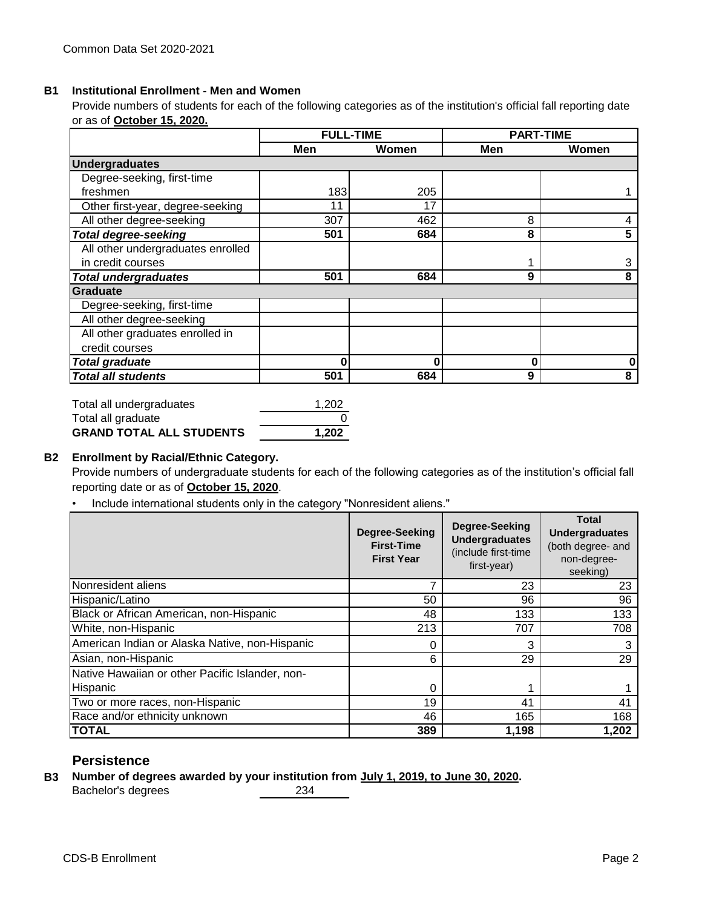#### **B1 Institutional Enrollment - Men and Women**

Provide numbers of students for each of the following categories as of the institution's official fall reporting date or as of **October 15, 2020.**

|                                   | <b>FULL-TIME</b> |       |     | <b>PART-TIME</b> |
|-----------------------------------|------------------|-------|-----|------------------|
|                                   | Men              | Women | Men | Women            |
| <b>Undergraduates</b>             |                  |       |     |                  |
| Degree-seeking, first-time        |                  |       |     |                  |
| freshmen                          | 183              | 205   |     |                  |
| Other first-year, degree-seeking  | 11               | 17    |     |                  |
| All other degree-seeking          | 307              | 462   | 8   |                  |
| <b>Total degree-seeking</b>       | 501              | 684   | 8   | 5                |
| All other undergraduates enrolled |                  |       |     |                  |
| in credit courses                 |                  |       |     | 3                |
| <b>Total undergraduates</b>       | 501              | 684   | 9   | 8                |
| Graduate                          |                  |       |     |                  |
| Degree-seeking, first-time        |                  |       |     |                  |
| All other degree-seeking          |                  |       |     |                  |
| All other graduates enrolled in   |                  |       |     |                  |
| credit courses                    |                  |       |     |                  |
| <b>Total graduate</b>             | 0                | 0     | O   | 0                |
| <b>Total all students</b>         | 501              | 684   | 9   | 8                |

| Total all undergraduates        | 1.202 |
|---------------------------------|-------|
| Total all graduate              |       |
| <b>GRAND TOTAL ALL STUDENTS</b> | 1.202 |

#### **B2 Enrollment by Racial/Ethnic Category.**

Provide numbers of undergraduate students for each of the following categories as of the institution's official fall reporting date or as of **October 15, 2020**.

• Include international students only in the category "Nonresident aliens."

|                                                 | Degree-Seeking<br><b>First-Time</b><br><b>First Year</b> | Degree-Seeking<br><b>Undergraduates</b><br>(include first-time<br>first-year) | <b>Total</b><br><b>Undergraduates</b><br>(both degree- and<br>non-degree-<br>seeking) |
|-------------------------------------------------|----------------------------------------------------------|-------------------------------------------------------------------------------|---------------------------------------------------------------------------------------|
| Nonresident aliens                              |                                                          | 23                                                                            | 23                                                                                    |
| Hispanic/Latino                                 | 50                                                       | 96                                                                            | 96                                                                                    |
| Black or African American, non-Hispanic         | 48                                                       | 133                                                                           | 133                                                                                   |
| White, non-Hispanic                             | 213                                                      | 707                                                                           | 708                                                                                   |
| American Indian or Alaska Native, non-Hispanic  | 0                                                        | 3                                                                             |                                                                                       |
| Asian, non-Hispanic                             | 6                                                        | 29                                                                            | 29                                                                                    |
| Native Hawaiian or other Pacific Islander, non- |                                                          |                                                                               |                                                                                       |
| Hispanic                                        | 0                                                        |                                                                               |                                                                                       |
| Two or more races, non-Hispanic                 | 19                                                       | 41                                                                            | 41                                                                                    |
| Race and/or ethnicity unknown                   | 46                                                       | 165                                                                           | 168                                                                                   |
| <b>TOTAL</b>                                    | 389                                                      | 1,198                                                                         | 1,202                                                                                 |

## **Persistence**

**B3 Number of degrees awarded by your institution from July 1, 2019, to June 30, 2020.** Bachelor's degrees 234

CDS-B Enrollment Page 2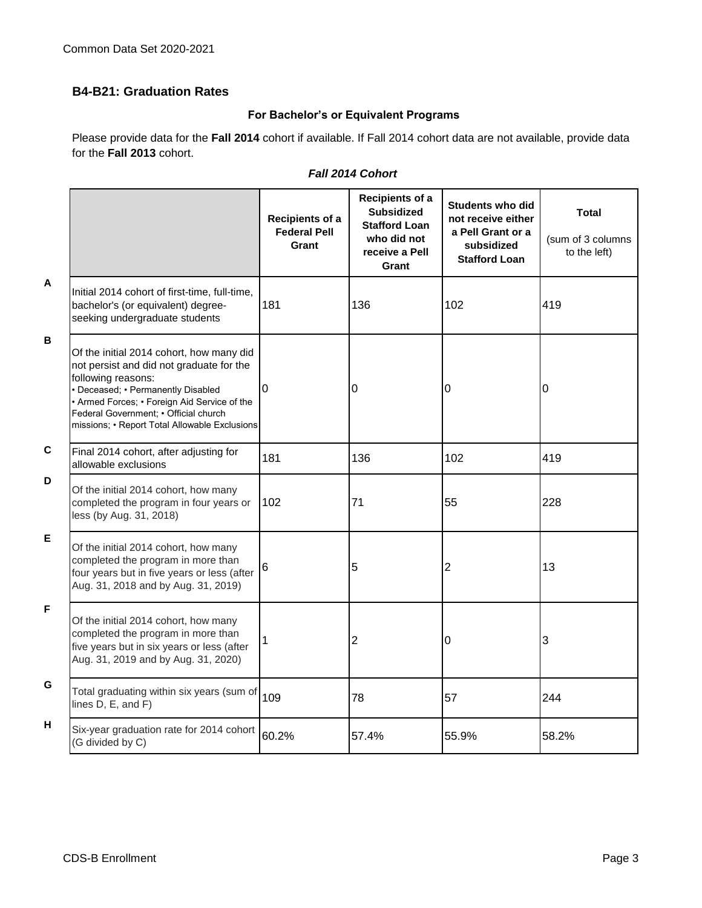## **B4-B21: Graduation Rates**

## **For Bachelor's or Equivalent Programs**

Please provide data for the **Fall 2014** cohort if available. If Fall 2014 cohort data are not available, provide data for the **Fall 2013** cohort.

|              |                                                                                                                                                                                                                                                                                            | Recipients of a<br><b>Federal Pell</b><br>Grant | Recipients of a<br><b>Subsidized</b><br><b>Stafford Loan</b><br>who did not<br>receive a Pell<br>Grant | <b>Students who did</b><br>not receive either<br>a Pell Grant or a<br>subsidized<br><b>Stafford Loan</b> | Total<br>(sum of 3 columns<br>to the left) |
|--------------|--------------------------------------------------------------------------------------------------------------------------------------------------------------------------------------------------------------------------------------------------------------------------------------------|-------------------------------------------------|--------------------------------------------------------------------------------------------------------|----------------------------------------------------------------------------------------------------------|--------------------------------------------|
| $\mathsf{A}$ | Initial 2014 cohort of first-time, full-time,<br>bachelor's (or equivalent) degree-<br>seeking undergraduate students                                                                                                                                                                      | 181                                             | 136                                                                                                    | 102                                                                                                      | 419                                        |
| B            | Of the initial 2014 cohort, how many did<br>not persist and did not graduate for the<br>following reasons:<br>• Deceased; • Permanently Disabled<br>• Armed Forces; • Foreign Aid Service of the<br>Federal Government; . Official church<br>missions; • Report Total Allowable Exclusions | $\overline{0}$                                  | 0                                                                                                      | 0                                                                                                        | 0                                          |
| $\mathbf c$  | Final 2014 cohort, after adjusting for<br>allowable exclusions                                                                                                                                                                                                                             | 181                                             | 136                                                                                                    | 102                                                                                                      | 419                                        |
| D            | Of the initial 2014 cohort, how many<br>completed the program in four years or<br>less (by Aug. 31, 2018)                                                                                                                                                                                  | 102                                             | 71                                                                                                     | 55                                                                                                       | 228                                        |
| E            | Of the initial 2014 cohort, how many<br>completed the program in more than<br>four years but in five years or less (after<br>Aug. 31, 2018 and by Aug. 31, 2019)                                                                                                                           | 6                                               | 5                                                                                                      | 2                                                                                                        | 13                                         |
| F            | Of the initial 2014 cohort, how many<br>completed the program in more than<br>five years but in six years or less (after<br>Aug. 31, 2019 and by Aug. 31, 2020)                                                                                                                            |                                                 | 2                                                                                                      | 0                                                                                                        | 3                                          |
| G            | Total graduating within six years (sum of<br>lines D, E, and F)                                                                                                                                                                                                                            | 109                                             | 78                                                                                                     | 57                                                                                                       | 244                                        |
| н            | Six-year graduation rate for 2014 cohort<br>(G divided by C)                                                                                                                                                                                                                               | 60.2%                                           | 57.4%                                                                                                  | 55.9%                                                                                                    | 58.2%                                      |

## *Fall 2014 Cohort*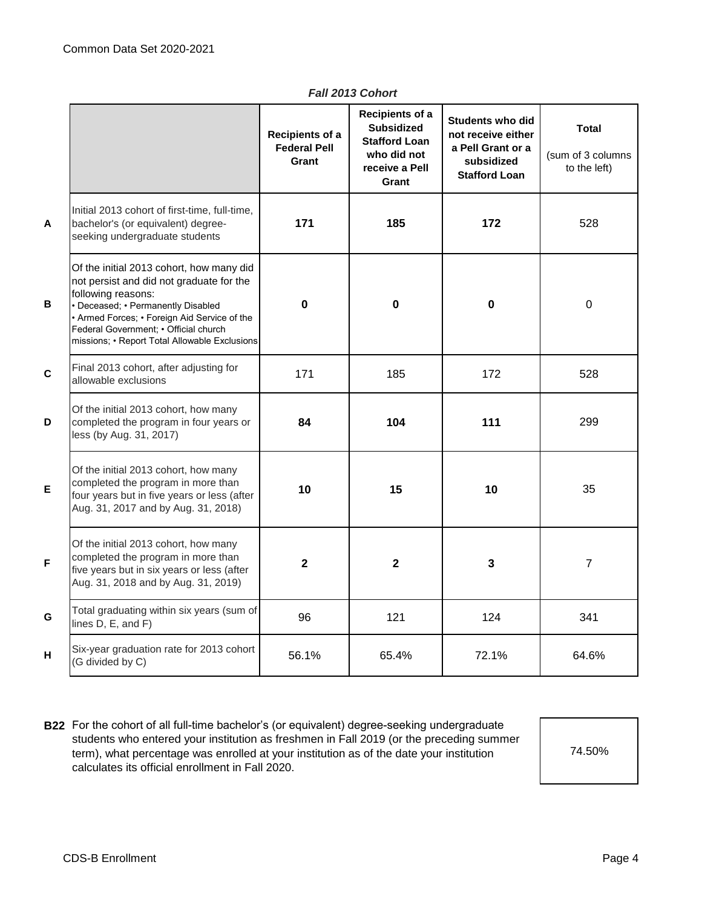|   |                                                                                                                                                                                                                                                                                            | Recipients of a<br><b>Federal Pell</b><br>Grant | Recipients of a<br><b>Subsidized</b><br><b>Stafford Loan</b><br>who did not<br>receive a Pell<br>Grant | <b>Students who did</b><br>not receive either<br>a Pell Grant or a<br>subsidized<br><b>Stafford Loan</b> | <b>Total</b><br>(sum of 3 columns<br>to the left) |
|---|--------------------------------------------------------------------------------------------------------------------------------------------------------------------------------------------------------------------------------------------------------------------------------------------|-------------------------------------------------|--------------------------------------------------------------------------------------------------------|----------------------------------------------------------------------------------------------------------|---------------------------------------------------|
| A | Initial 2013 cohort of first-time, full-time,<br>bachelor's (or equivalent) degree-<br>seeking undergraduate students                                                                                                                                                                      | 171                                             | 185                                                                                                    | 172                                                                                                      | 528                                               |
| B | Of the initial 2013 cohort, how many did<br>not persist and did not graduate for the<br>following reasons:<br>• Deceased; • Permanently Disabled<br>• Armed Forces; • Foreign Aid Service of the<br>Federal Government; . Official church<br>missions; • Report Total Allowable Exclusions | $\bf{0}$                                        | $\mathbf 0$                                                                                            | $\mathbf 0$                                                                                              | $\mathbf 0$                                       |
| C | Final 2013 cohort, after adjusting for<br>allowable exclusions                                                                                                                                                                                                                             | 171                                             | 185                                                                                                    | 172                                                                                                      | 528                                               |
| D | Of the initial 2013 cohort, how many<br>completed the program in four years or<br>less (by Aug. 31, 2017)                                                                                                                                                                                  | 84                                              | 104                                                                                                    | 111                                                                                                      | 299                                               |
| E | Of the initial 2013 cohort, how many<br>completed the program in more than<br>four years but in five years or less (after<br>Aug. 31, 2017 and by Aug. 31, 2018)                                                                                                                           | 10                                              | 15                                                                                                     | 10                                                                                                       | 35                                                |
| F | Of the initial 2013 cohort, how many<br>completed the program in more than<br>five years but in six years or less (after<br>Aug. 31, 2018 and by Aug. 31, 2019)                                                                                                                            | $\overline{2}$                                  | $\overline{\mathbf{2}}$                                                                                | 3                                                                                                        | $\overline{7}$                                    |
| Ġ | Total graduating within six years (sum of<br>lines D, E, and F)                                                                                                                                                                                                                            | 96                                              | 121                                                                                                    | 124                                                                                                      | 341                                               |
| H | Six-year graduation rate for 2013 cohort<br>(G divided by C)                                                                                                                                                                                                                               | 56.1%                                           | 65.4%                                                                                                  | 72.1%                                                                                                    | 64.6%                                             |

*Fall 2013 Cohort*

**B22** For the cohort of all full-time bachelor's (or equivalent) degree-seeking undergraduate students who entered your institution as freshmen in Fall 2019 (or the preceding summer term), what percentage was enrolled at your institution as of the date your institution calculates its official enrollment in Fall 2020.

74.50%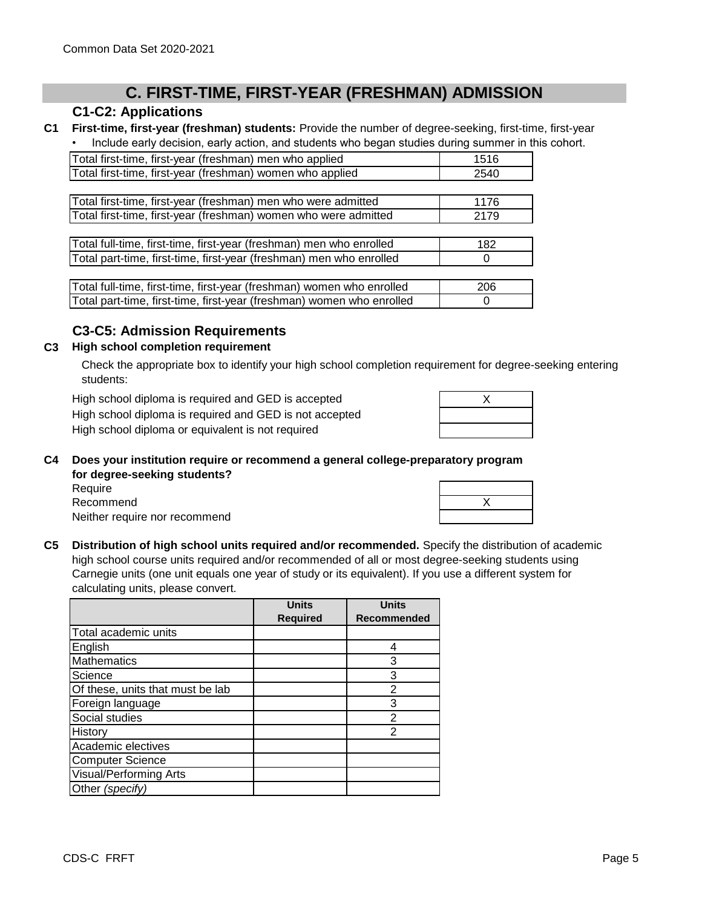# **C. FIRST-TIME, FIRST-YEAR (FRESHMAN) ADMISSION**

## **C1-C2: Applications**

**C1 First-time, first-year (freshman) students:** Provide the number of degree-seeking, first-time, first-year • Include early decision, early action, and students who began studies during summer in this cohort.

| 1516<br>2540 |
|--------------|
|              |
|              |
|              |
| 1176         |
| 2179         |
|              |
| 182          |
| $\Omega$     |
|              |

| Total full-time, first-time, first-year (freshman) women who enrolled | 206 |
|-----------------------------------------------------------------------|-----|
| Total part-time, first-time, first-year (freshman) women who enrolled |     |

## **C3-C5: Admission Requirements**

## **C3 High school completion requirement**

Check the appropriate box to identify your high school completion requirement for degree-seeking entering students:

High school diploma is required and GED is accepted

High school diploma is required and GED is not accepted High school diploma or equivalent is not required

| $\checkmark$ |  |
|--------------|--|
|              |  |
|              |  |

#### **C4 Does your institution require or recommend a general college-preparatory program for degree-seeking students?**

Require Recommend Neither require nor recommend

**C5 Distribution of high school units required and/or recommended.** Specify the distribution of academic high school course units required and/or recommended of all or most degree-seeking students using Carnegie units (one unit equals one year of study or its equivalent). If you use a different system for calculating units, please convert.

|                                  | <b>Units</b>    | <b>Units</b>       |
|----------------------------------|-----------------|--------------------|
|                                  | <b>Required</b> | <b>Recommended</b> |
| Total academic units             |                 |                    |
| English                          |                 | 4                  |
| <b>Mathematics</b>               |                 | 3                  |
| Science                          |                 | 3                  |
| Of these, units that must be lab |                 | 2                  |
| Foreign language                 |                 | 3                  |
| Social studies                   |                 | 2                  |
| History                          |                 | 2                  |
| Academic electives               |                 |                    |
| <b>Computer Science</b>          |                 |                    |
| <b>Visual/Performing Arts</b>    |                 |                    |
| Other (specify)                  |                 |                    |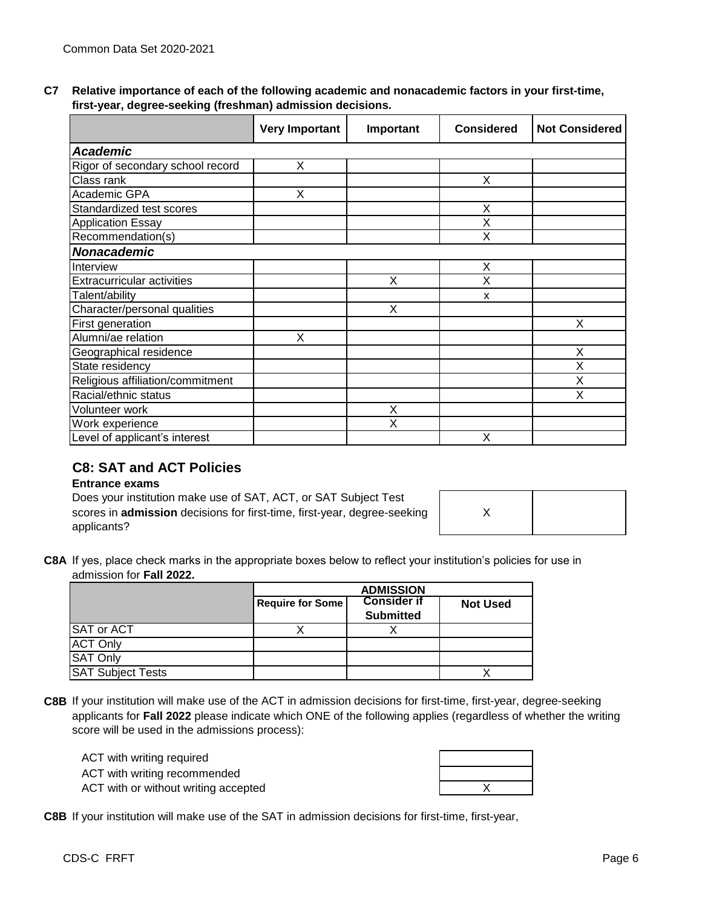| C7 Relative importance of each of the following academic and nonacademic factors in your first-time, |
|------------------------------------------------------------------------------------------------------|
| first-year, degree-seeking (freshman) admission decisions.                                           |

|                                   | <b>Very Important</b> | Important | <b>Considered</b> | <b>Not Considered</b> |
|-----------------------------------|-----------------------|-----------|-------------------|-----------------------|
| <b>Academic</b>                   |                       |           |                   |                       |
| Rigor of secondary school record  | Χ                     |           |                   |                       |
| Class rank                        |                       |           | Χ                 |                       |
| Academic GPA                      | X                     |           |                   |                       |
| Standardized test scores          |                       |           | X                 |                       |
| <b>Application Essay</b>          |                       |           | Χ                 |                       |
| Recommendation(s)                 |                       |           | X                 |                       |
| <b>Nonacademic</b>                |                       |           |                   |                       |
| Interview                         |                       |           | Х                 |                       |
| <b>Extracurricular activities</b> |                       | Х         | Χ                 |                       |
| Talent/ability                    |                       |           | x                 |                       |
| Character/personal qualities      |                       | X         |                   |                       |
| First generation                  |                       |           |                   | X                     |
| Alumni/ae relation                | X                     |           |                   |                       |
| Geographical residence            |                       |           |                   | X                     |
| State residency                   |                       |           |                   | X                     |
| Religious affiliation/commitment  |                       |           |                   | Χ                     |
| Racial/ethnic status              |                       |           |                   | Χ                     |
| Volunteer work                    |                       | Χ         |                   |                       |
| Work experience                   |                       | X         |                   |                       |
| Level of applicant's interest     |                       |           | Χ                 |                       |

## **C8: SAT and ACT Policies**

### **Entrance exams**

Does your institution make use of SAT, ACT, or SAT Subject Test scores in **admission** decisions for first-time, first-year, degree-seeking applicants?

**C8A** If yes, place check marks in the appropriate boxes below to reflect your institution's policies for use in admission for **Fall 2022.**

|                          | <b>ADMISSION</b> |                                        |                 |
|--------------------------|------------------|----------------------------------------|-----------------|
|                          | Require for Some | <b>Consider if</b><br><b>Submitted</b> | <b>Not Used</b> |
| <b>SAT or ACT</b>        |                  |                                        |                 |
| <b>ACT Only</b>          |                  |                                        |                 |
| <b>SAT Only</b>          |                  |                                        |                 |
| <b>SAT Subject Tests</b> |                  |                                        |                 |

**C8B** If your institution will make use of the ACT in admission decisions for first-time, first-year, degree-seeking applicants for **Fall 2022** please indicate which ONE of the following applies (regardless of whether the writing score will be used in the admissions process):

ACT with writing required ACT with writing recommended ACT with or without writing accepted

**C8B** If your institution will make use of the SAT in admission decisions for first-time, first-year,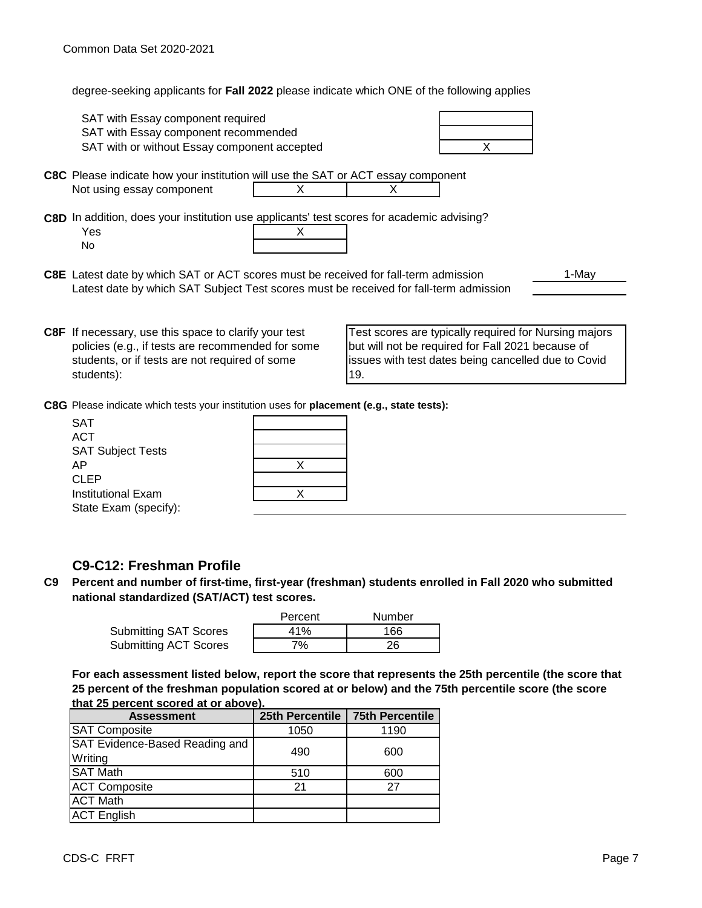degree-seeking applicants for **Fall 2022** please indicate which ONE of the following applies

| SAT with Essay component required<br>SAT with Essay component recommended<br>SAT with or without Essay component accepted                                                    |   | X                                                 |       |
|------------------------------------------------------------------------------------------------------------------------------------------------------------------------------|---|---------------------------------------------------|-------|
| <b>C8C</b> Please indicate how your institution will use the SAT or ACT essay component<br>Not using essay component                                                         |   |                                                   |       |
| C8D In addition, does your institution use applicants' test scores for academic advising?<br>Yes<br>No.                                                                      | x |                                                   |       |
| C8E Latest date by which SAT or ACT scores must be received for fall-term admission<br>Latest date by which SAT Subject Test scores must be received for fall-term admission |   |                                                   | 1-May |
| <b>C8F</b> If necessary, use this space to clarify your test                                                                                                                 |   | Test scores are typically required for Nursing ma |       |

**C8F** policies (e.g., if tests are recommended for some students, or if tests are not required of some students):

ng majors but will not be required for Fall 2021 because of issues with test dates being cancelled due to Covid 19.

**C8G** Please indicate which tests your institution uses for **placement (e.g., state tests):**

| <b>SAT</b>               |  |
|--------------------------|--|
| <b>ACT</b>               |  |
| <b>SAT Subject Tests</b> |  |
| AP                       |  |
| <b>CLEP</b>              |  |
| Institutional Exam       |  |
| State Exam (specify):    |  |
|                          |  |

#### **ACT SAT**

## **C9-C12: Freshman Profile**

**C9 Percent and number of first-time, first-year (freshman) students enrolled in Fall 2020 who submitted national standardized (SAT/ACT) test scores.**

|                              | Percent | Number |
|------------------------------|---------|--------|
| <b>Submitting SAT Scores</b> | 41%     | 166    |
| <b>Submitting ACT Scores</b> | 7%      | 26     |

**For each assessment listed below, report the score that represents the 25th percentile (the score that 25 percent of the freshman population scored at or below) and the 75th percentile score (the score that 25 percent scored at or above).**

| <b>Assessment</b>              | 25th Percentile | 75th Percentile |  |
|--------------------------------|-----------------|-----------------|--|
| <b>SAT Composite</b>           | 1050            | 1190            |  |
| SAT Evidence-Based Reading and | 490             | 600             |  |
| Writing                        |                 |                 |  |
| <b>SAT Math</b>                | 510             | 600             |  |
| <b>ACT Composite</b>           | 21              | 27              |  |
| <b>ACT Math</b>                |                 |                 |  |
| <b>ACT English</b>             |                 |                 |  |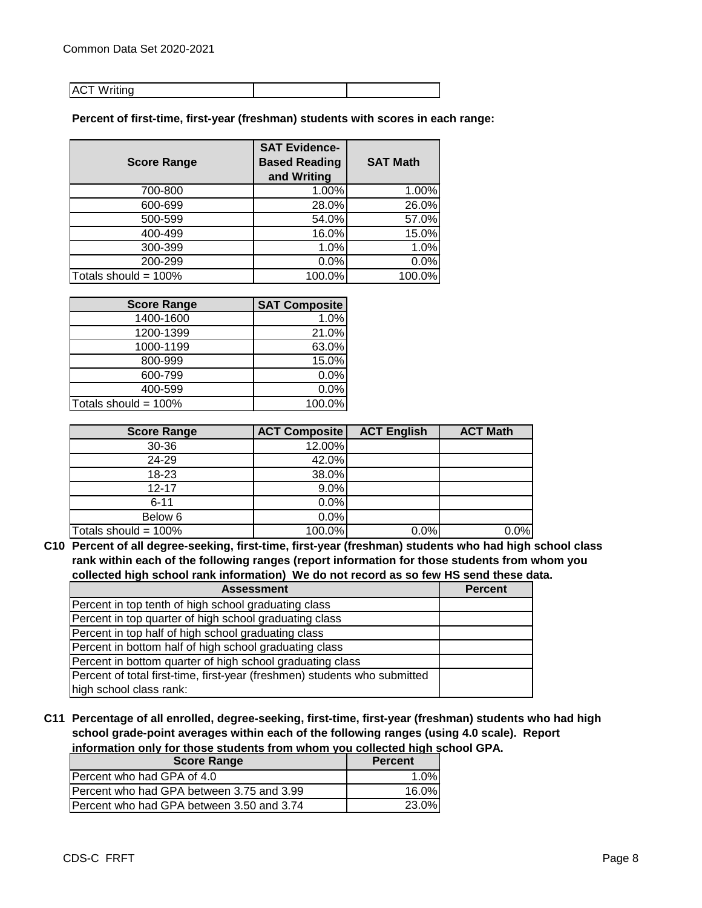#### **ACT Writing**

**Percent of first-time, first-year (freshman) students with scores in each range:**

| <b>Score Range</b>      | <b>SAT Evidence-</b><br><b>Based Reading</b> | <b>SAT Math</b> |
|-------------------------|----------------------------------------------|-----------------|
|                         | and Writing                                  |                 |
| 700-800                 | 1.00%                                        | 1.00%           |
| 600-699                 | 28.0%                                        | 26.0%           |
| 500-599                 | 54.0%                                        | 57.0%           |
| 400-499                 | 16.0%                                        | 15.0%           |
| 300-399                 | 1.0%                                         | 1.0%            |
| 200-299                 | 0.0%                                         | 0.0%            |
| Totals should = $100\%$ | 100.0%                                       | 100.0%          |

| <b>Score Range</b>      | <b>SAT Composite</b> |
|-------------------------|----------------------|
| 1400-1600               | 1.0%                 |
| 1200-1399               | 21.0%                |
| 1000-1199               | 63.0%                |
| 800-999                 | 15.0%                |
| 600-799                 | 0.0%                 |
| 400-599                 | 0.0%                 |
| Totals should = $100\%$ | 100.0%               |

| <b>Score Range</b>      | <b>ACT Composite</b> | <b>ACT English</b> | <b>ACT Math</b> |
|-------------------------|----------------------|--------------------|-----------------|
| 30-36                   | 12.00%               |                    |                 |
| 24-29                   | 42.0%                |                    |                 |
| 18-23                   | 38.0%                |                    |                 |
| $12 - 17$               | 9.0%                 |                    |                 |
| $6 - 11$                | 0.0%                 |                    |                 |
| Below 6                 | 0.0%                 |                    |                 |
| Totals should = $100\%$ | 100.0%               | 0.0%               | 0.0%            |

**C10 Percent of all degree-seeking, first-time, first-year (freshman) students who had high school class rank within each of the following ranges (report information for those students from whom you collected high school rank information) We do not record as so few HS send these data.**

| <b>Assessment</b>                                                         | <b>Percent</b> |
|---------------------------------------------------------------------------|----------------|
| Percent in top tenth of high school graduating class                      |                |
| Percent in top quarter of high school graduating class                    |                |
| Percent in top half of high school graduating class                       |                |
| Percent in bottom half of high school graduating class                    |                |
| Percent in bottom quarter of high school graduating class                 |                |
| Percent of total first-time, first-year (freshmen) students who submitted |                |
| high school class rank:                                                   |                |

**C11 Percentage of all enrolled, degree-seeking, first-time, first-year (freshman) students who had high school grade-point averages within each of the following ranges (using 4.0 scale). Report information only for those students from whom you collected high school GPA.**

| <b>Score Range</b>                        | <b>Percent</b> |
|-------------------------------------------|----------------|
| Percent who had GPA of 4.0                | 1.0%           |
| Percent who had GPA between 3.75 and 3.99 | 16.0%          |
| Percent who had GPA between 3.50 and 3.74 | 23.0%          |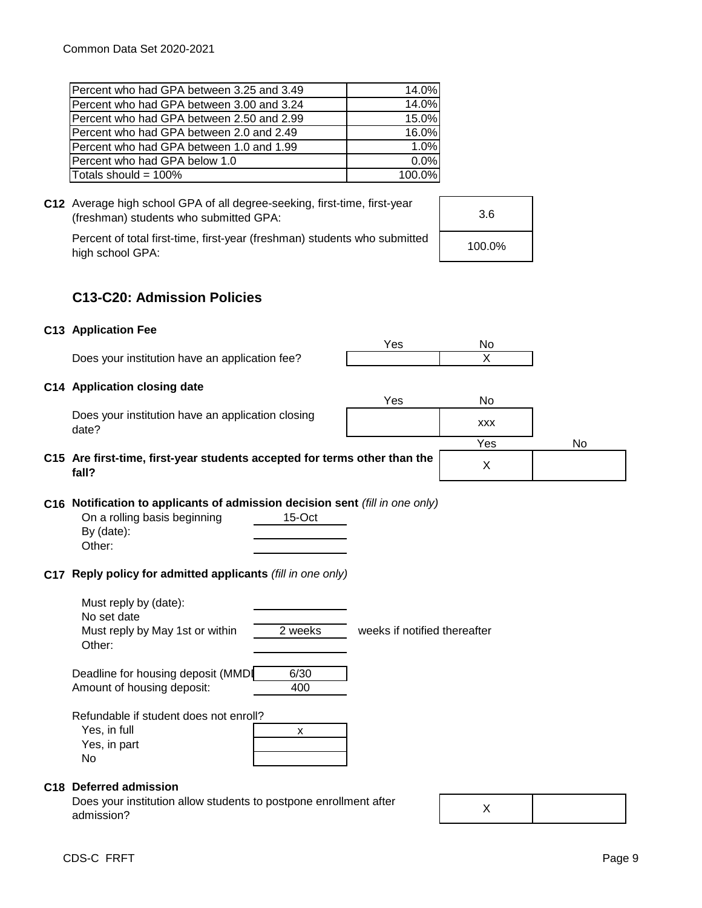| Percent who had GPA between 3.25 and 3.49 | 14.0%  |
|-------------------------------------------|--------|
| Percent who had GPA between 3.00 and 3.24 | 14.0%  |
| Percent who had GPA between 2.50 and 2.99 | 15.0%  |
| Percent who had GPA between 2.0 and 2.49  | 16.0%  |
| Percent who had GPA between 1.0 and 1.99  | 1.0%   |
| Percent who had GPA below 1.0             | 0.0%   |
| Totals should = 100%                      | 100.0% |
|                                           |        |



high school GPA:

| 3.6    |  |
|--------|--|
| 100.0% |  |

## **C13-C20: Admission Policies**

## **C13 Application Fee**

**fall?**

Does your institution have an application fee?

### **C14 Application closing date**

| Does your institution have an application closing |  |
|---------------------------------------------------|--|
| date?                                             |  |

|                                                                                                 | Yes | No         |    |
|-------------------------------------------------------------------------------------------------|-----|------------|----|
| Does your institution have an application closing<br>date?                                      |     | <b>XXX</b> |    |
|                                                                                                 |     | Yes        | No |
| C15 Are first-time, first-year students accepted for terms other than the<br>f <sub>2</sub>   2 |     |            |    |

X

Yes No

# **C16 Notification to applicants of admission decision sent** *(fill in one only)*

| On a rolling basis beginning | $15-Oct$ |
|------------------------------|----------|
| By $(data)$ :                |          |
| Other:                       |          |

## **C17 Reply policy for admitted applicants** *(fill in one only)*

Must reply by (date): No set date Must reply by May 1st or within 2 weeks weeks if notified thereafter Other:

Deadline for housing deposit (MMDI 6/30 Amount of housing deposit: 400

Refundable if student does not enroll?

| Yes, in full |  |
|--------------|--|
| Yes, in part |  |
| No           |  |

### **C18 Deferred admission**

Does your institution allow students to postpone enrollment after admission?

X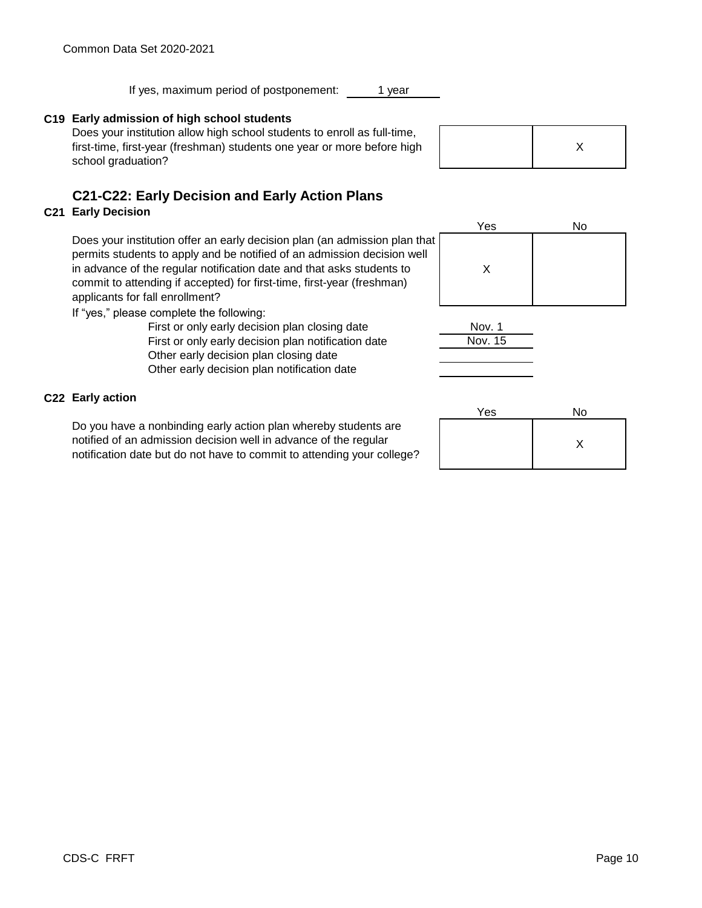If yes, maximum period of postponement:

## **C19 Early admission of high school students**

Does your institution allow high school students to enroll as full-time, first-time, first-year (freshman) students one year or more before high school graduation?

# **C21-C22: Early Decision and Early Action Plans**

## **C21 Early Decision**

Does your institution offer an early decision plan (an admission plan that permits students to apply and be notified of an admission decision well in advance of the regular notification date and that asks students to commit to attending if accepted) for first-time, first-year (freshman) applicants for fall enrollment?

If "yes," please complete the following:

Other early decision plan closing date Other early decision plan notification date First or only early decision plan notification date First or only early decision plan closing date

## **C22 Early action**

Do you have a nonbinding early action plan whereby students are notified of an admission decision well in advance of the regular notification date but do not have to commit to attending your college?

|  | Χ |  |
|--|---|--|
|--|---|--|

Yes No



Nov. 1 Nov. 15

| Yes | No |
|-----|----|
|     |    |

## 1 year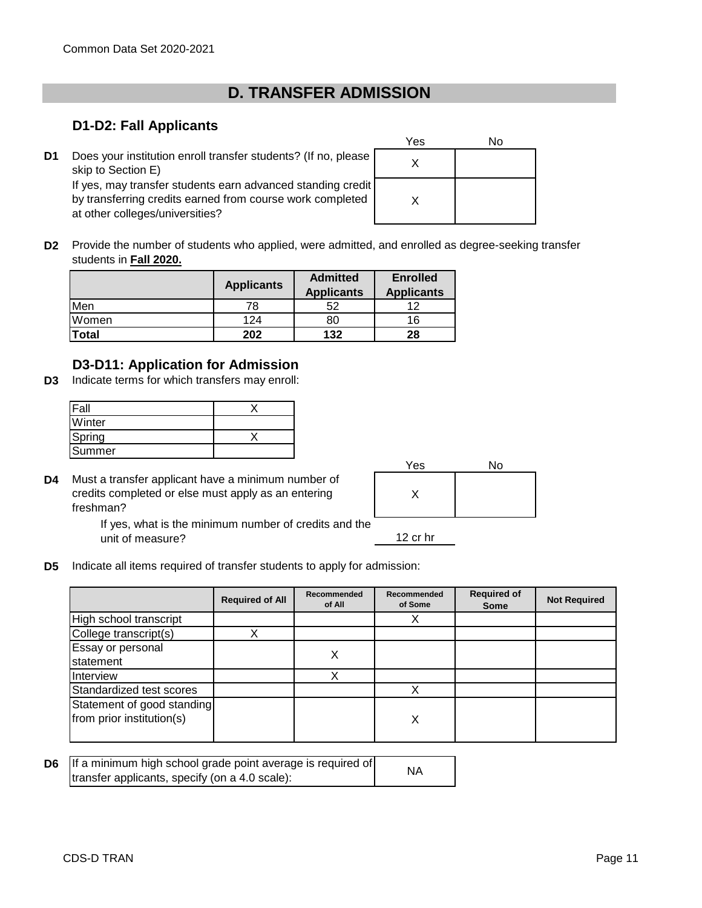# **D. TRANSFER ADMISSION**

## **D1-D2: Fall Applicants**

**D1** Does your institution enroll transfer students? (If no, please  $\begin{bmatrix} x \end{bmatrix}$ skip to Section E) If yes, may transfer students earn advanced standing credit by transferring credits earned from course work completed at other colleges/universities?

| Yes | No |
|-----|----|
| X   |    |
| Χ   |    |

**D2** Provide the number of students who applied, were admitted, and enrolled as degree-seeking transfer students in **Fall 2020.**

|              | <b>Applicants</b> | <b>Admitted</b><br><b>Applicants</b> | <b>Enrolled</b><br><b>Applicants</b> |
|--------------|-------------------|--------------------------------------|--------------------------------------|
| Men          | 78                | 52                                   |                                      |
| Women        | 124               | 80                                   | 16                                   |
| <b>Total</b> | 202               | 132                                  | 28                                   |

## **D3-D11: Application for Admission**

**D3** Indicate terms for which transfers may enroll:

| <b>Fall</b> |  |
|-------------|--|
| Winter      |  |
| Spring      |  |
| Summer      |  |

**D4** Must a transfer applicant have a minimum number of credits completed or else must apply as an entering freshman?

| Yes | No |
|-----|----|
|     |    |
|     |    |

If yes, what is the minimum number of credits and the unit of measure?

- 12 cr hr
- **D5** Indicate all items required of transfer students to apply for admission:

|                                                         | <b>Required of All</b> | Recommended<br>of All | Recommended<br>of Some | <b>Required of</b><br>Some | <b>Not Required</b> |
|---------------------------------------------------------|------------------------|-----------------------|------------------------|----------------------------|---------------------|
| High school transcript                                  |                        |                       |                        |                            |                     |
| College transcript(s)                                   |                        |                       |                        |                            |                     |
| Essay or personal<br>statement                          |                        | Х                     |                        |                            |                     |
| Interview                                               |                        | Χ                     |                        |                            |                     |
| Standardized test scores                                |                        |                       |                        |                            |                     |
| Statement of good standing<br>from prior institution(s) |                        |                       | Χ                      |                            |                     |

| <b>D6</b> If a minimum high school grade point average is required of | <b>NA</b> |
|-----------------------------------------------------------------------|-----------|
| transfer applicants, specify (on a 4.0 scale):                        |           |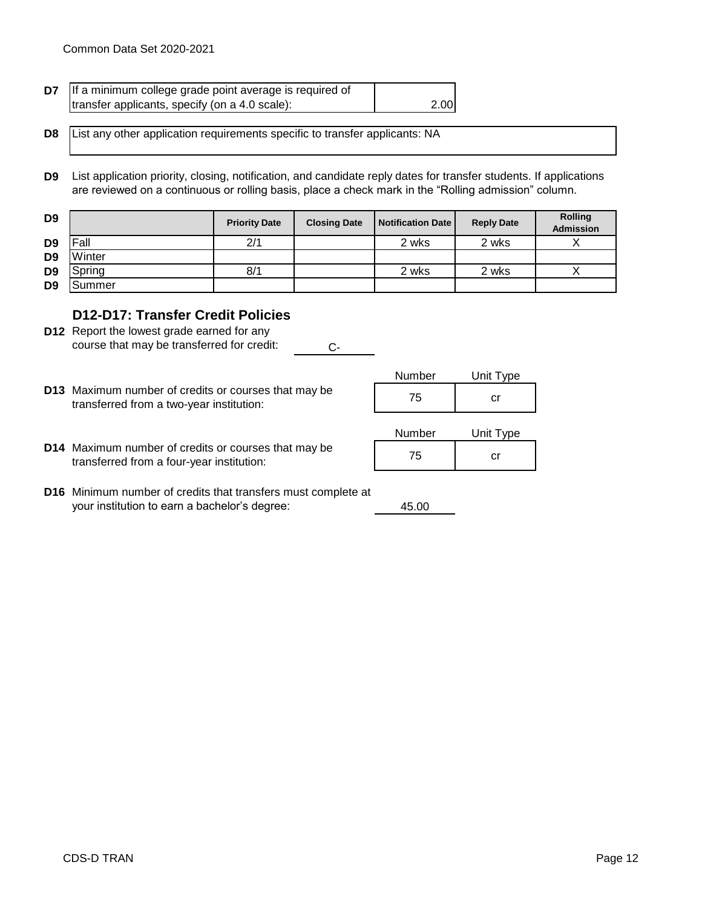| D7 | If a minimum college grade point average is required of |      |
|----|---------------------------------------------------------|------|
|    | transfer applicants, specify (on a 4.0 scale):          | 2.00 |

**D8** List any other application requirements specific to transfer applicants: NA

**D9** List application priority, closing, notification, and candidate reply dates for transfer students. If applications are reviewed on a continuous or rolling basis, place a check mark in the "Rolling admission" column.

| D <sub>9</sub> |        | <b>Priority Date</b> | <b>Closing Date</b> | <b>Notification Date</b> | <b>Reply Date</b> | <b>Rolling</b><br><b>Admission</b> |
|----------------|--------|----------------------|---------------------|--------------------------|-------------------|------------------------------------|
| D <sub>9</sub> | Fall   | 2/1                  |                     | 2 wks                    | 2 wks             |                                    |
| D <sub>9</sub> | Winter |                      |                     |                          |                   |                                    |
| D <sub>9</sub> | Sprina | 8/1                  |                     | 2 wks                    | 2 wks             |                                    |
| D <sub>9</sub> | Summer |                      |                     |                          |                   |                                    |

## **D12-D17: Transfer Credit Policies**

- **D12** Report the lowest grade earned for any Ccourse that may be transferred for credit:
- Number Unit Type **D13** Maximum number of credits or courses that may be <br>transformed from a two year institution:  $\begin{array}{ccc} 75 & 75 \end{array}$ transferred from a two-year institution:

| 75     | cr        |
|--------|-----------|
| Number | Unit Type |

**D14** Maximum number of credits or courses that may be <br>transformed from a four vear institution: <br> transferred from a four-year institution:

| Number | Unit Type |
|--------|-----------|
| 75     | Ωľ        |

45.00

**D16** Minimum number of credits that transfers must complete at your institution to earn a bachelor's degree: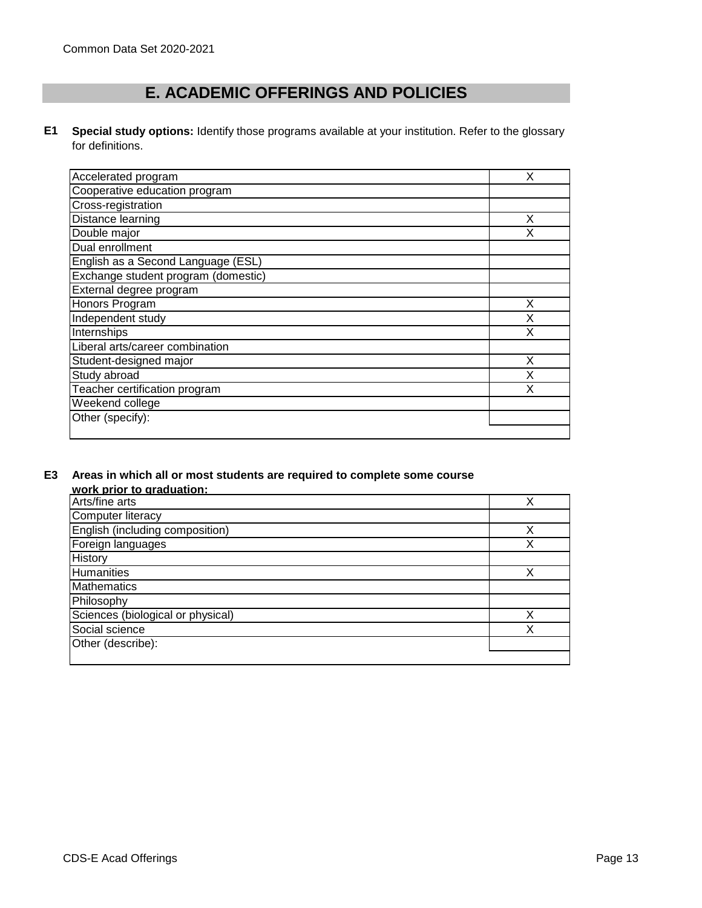# **E. ACADEMIC OFFERINGS AND POLICIES**

**E1 Special study options:** Identify those programs available at your institution. Refer to the glossary for definitions.

| Χ<br>Accelerated program<br>Cooperative education program<br>Cross-registration<br>Distance learning<br>x<br>Double major<br>x<br>Dual enrollment<br>English as a Second Language (ESL)<br>Exchange student program (domestic)<br>External degree program<br>Honors Program<br>Х<br>Independent study<br>Internships<br>χ<br>Liberal arts/career combination<br>X<br>Student-designed major<br>Study abroad<br>χ<br>Teacher certification program<br>Weekend college<br>Other (specify): |  |
|------------------------------------------------------------------------------------------------------------------------------------------------------------------------------------------------------------------------------------------------------------------------------------------------------------------------------------------------------------------------------------------------------------------------------------------------------------------------------------------|--|
|                                                                                                                                                                                                                                                                                                                                                                                                                                                                                          |  |
|                                                                                                                                                                                                                                                                                                                                                                                                                                                                                          |  |
|                                                                                                                                                                                                                                                                                                                                                                                                                                                                                          |  |
|                                                                                                                                                                                                                                                                                                                                                                                                                                                                                          |  |
|                                                                                                                                                                                                                                                                                                                                                                                                                                                                                          |  |
|                                                                                                                                                                                                                                                                                                                                                                                                                                                                                          |  |
|                                                                                                                                                                                                                                                                                                                                                                                                                                                                                          |  |
|                                                                                                                                                                                                                                                                                                                                                                                                                                                                                          |  |
|                                                                                                                                                                                                                                                                                                                                                                                                                                                                                          |  |
|                                                                                                                                                                                                                                                                                                                                                                                                                                                                                          |  |
|                                                                                                                                                                                                                                                                                                                                                                                                                                                                                          |  |
|                                                                                                                                                                                                                                                                                                                                                                                                                                                                                          |  |
|                                                                                                                                                                                                                                                                                                                                                                                                                                                                                          |  |
|                                                                                                                                                                                                                                                                                                                                                                                                                                                                                          |  |
|                                                                                                                                                                                                                                                                                                                                                                                                                                                                                          |  |
|                                                                                                                                                                                                                                                                                                                                                                                                                                                                                          |  |
|                                                                                                                                                                                                                                                                                                                                                                                                                                                                                          |  |
|                                                                                                                                                                                                                                                                                                                                                                                                                                                                                          |  |
|                                                                                                                                                                                                                                                                                                                                                                                                                                                                                          |  |

#### **E3 Areas in which all or most students are required to complete some course work prior to graduation:**

| <b>WOLN DITOL to GLAUGHOLI.</b>   |   |
|-----------------------------------|---|
| Arts/fine arts                    |   |
| Computer literacy                 |   |
| English (including composition)   |   |
| Foreign languages                 | X |
| History                           |   |
| Humanities                        |   |
| <b>Mathematics</b>                |   |
| Philosophy                        |   |
| Sciences (biological or physical) |   |
| Social science                    |   |
| Other (describe):                 |   |
|                                   |   |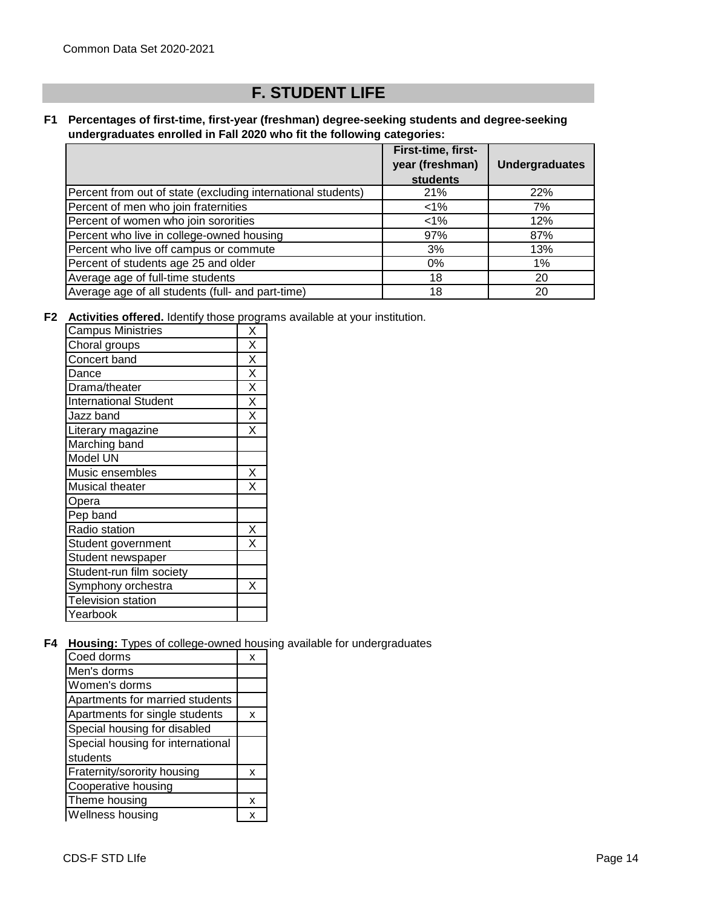# **F. STUDENT LIFE**

#### **F1 Percentages of first-time, first-year (freshman) degree-seeking students and degree-seeking undergraduates enrolled in Fall 2020 who fit the following categories:**

|                                                              | First-time, first-<br>year (freshman)<br><b>students</b> | <b>Undergraduates</b> |
|--------------------------------------------------------------|----------------------------------------------------------|-----------------------|
| Percent from out of state (excluding international students) | 21%                                                      | 22%                   |
| Percent of men who join fraternities                         | $<1\%$                                                   | 7%                    |
| Percent of women who join sororities                         | $1\%$                                                    | 12%                   |
| Percent who live in college-owned housing                    | 97%                                                      | 87%                   |
| Percent who live off campus or commute                       | 3%                                                       | 13%                   |
| Percent of students age 25 and older                         | 0%                                                       | 1%                    |
| Average age of full-time students                            | 18                                                       | 20                    |
| Average age of all students (full- and part-time)            | 18                                                       | 20                    |

**F2** Activities offered. Identify those programs available at your institution.

| <b>Campus Ministries</b>     | Χ                       |
|------------------------------|-------------------------|
| Choral groups                | X                       |
| Concert band                 | $\overline{\mathsf{x}}$ |
| Dance                        | Χ                       |
| Drama/theater                | X                       |
| <b>International Student</b> | X                       |
| Jazz band                    | X                       |
| Literary magazine            | X                       |
| Marching band                |                         |
| Model UN                     |                         |
| Music ensembles              | X                       |
| Musical theater              | X                       |
| Opera                        |                         |
| Pep band                     |                         |
| Radio station                | Χ                       |
| Student government           | $\overline{\mathsf{x}}$ |
| Student newspaper            |                         |
| Student-run film society     |                         |
| Symphony orchestra           | X                       |
| <b>Television station</b>    |                         |
| Yearbook                     |                         |
|                              |                         |

**F4 Housing:** Types of college-owned housing available for undergraduates

| Coed dorms                        | x |
|-----------------------------------|---|
| Men's dorms                       |   |
| Women's dorms                     |   |
| Apartments for married students   |   |
| Apartments for single students    | x |
| Special housing for disabled      |   |
| Special housing for international |   |
| students                          |   |
| Fraternity/sorority housing       | x |
| Cooperative housing               |   |
| Theme housing                     | x |
| Wellness housing                  | x |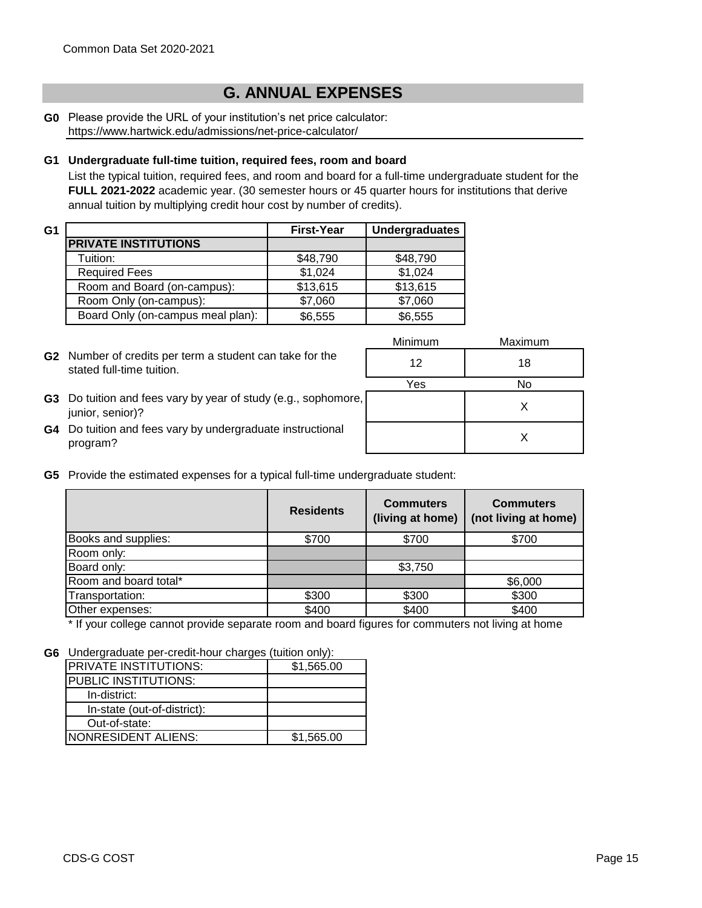# **G. ANNUAL EXPENSES**

**G0** Please provide the URL of your institution's net price calculator: https://www.hartwick.edu/admissions/net-price-calculator/

#### **G1 Undergraduate full-time tuition, required fees, room and board**

List the typical tuition, required fees, and room and board for a full-time undergraduate student for the **FULL 2021-2022** academic year. (30 semester hours or 45 quarter hours for institutions that derive annual tuition by multiplying credit hour cost by number of credits).

| G1 |                                   | <b>First-Year</b> | <b>Undergraduates</b> |
|----|-----------------------------------|-------------------|-----------------------|
|    | <b>PRIVATE INSTITUTIONS</b>       |                   |                       |
|    | Tuition:                          | \$48,790          | \$48,790              |
|    | <b>Required Fees</b>              | \$1,024           | \$1,024               |
|    | Room and Board (on-campus):       | \$13,615          | \$13,615              |
|    | Room Only (on-campus):            | \$7,060           | \$7,060               |
|    | Board Only (on-campus meal plan): | \$6,555           | \$6,555               |

**G2** Number of credits per term a student can take for the <br>
atotacl full time tuitier stated full-time tuition.

| Minimum | Maximum |
|---------|---------|
| 12      | 18      |
| Yes     | No      |
| ٠,      | X       |
|         | x       |

- **G3** Do tuition and fees vary by year of study (e.g., sophomore, **According to the Contract Conduct A** X junior, senior)?
- **G4** Do tuition and fees vary by undergraduate instructional program?
- **G5** Provide the estimated expenses for a typical full-time undergraduate student:

|                       | <b>Residents</b> | <b>Commuters</b><br>(living at home) | <b>Commuters</b><br>(not living at home) |
|-----------------------|------------------|--------------------------------------|------------------------------------------|
| Books and supplies:   | \$700            | \$700                                | \$700                                    |
| Room only:            |                  |                                      |                                          |
| Board only:           |                  | \$3,750                              |                                          |
| Room and board total* |                  |                                      | \$6,000                                  |
| Transportation:       | \$300            | \$300                                | \$300                                    |
| Other expenses:       | \$400            | \$400                                | \$400                                    |

\* If your college cannot provide separate room and board figures for commuters not living at home

**G6** Undergraduate per-credit-hour charges (tuition only):

| ---                          |            |
|------------------------------|------------|
| <b>PRIVATE INSTITUTIONS:</b> | \$1,565.00 |
| PUBLIC INSTITUTIONS:         |            |
| In-district:                 |            |
| In-state (out-of-district):  |            |
| Out-of-state:                |            |
| NONRESIDENT ALIENS:          | \$1,565.00 |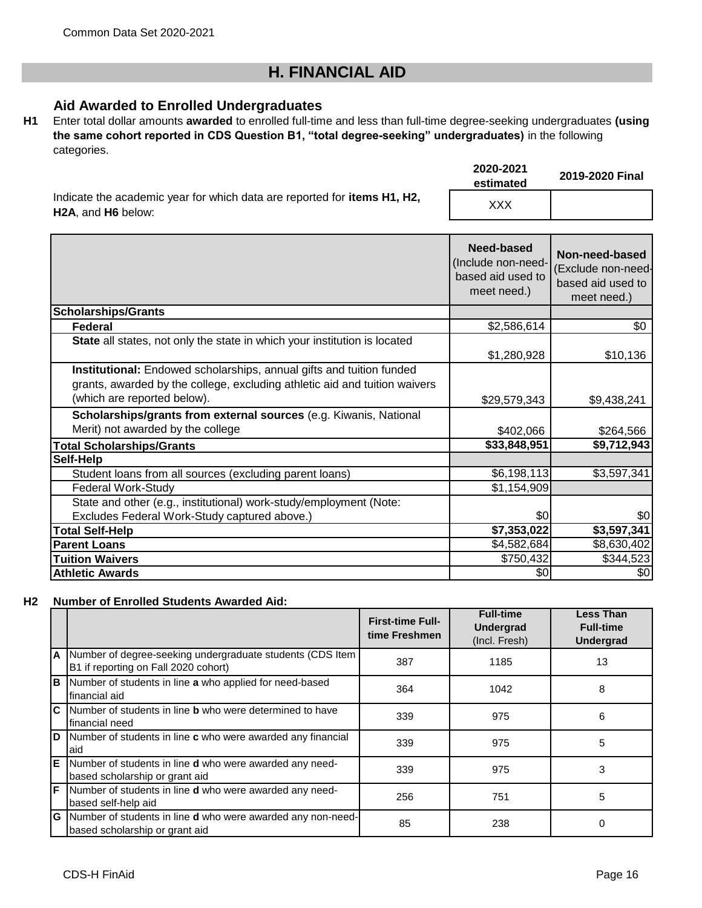# **H. FINANCIAL AID**

## **Aid Awarded to Enrolled Undergraduates**

**H1** Enter total dollar amounts **awarded** to enrolled full-time and less than full-time degree-seeking undergraduates **(using the same cohort reported in CDS Question B1, "total degree-seeking" undergraduates)** in the following categories.

|                                                                                                                     | 2020-2021<br>estimated | 2019-2020 Final |
|---------------------------------------------------------------------------------------------------------------------|------------------------|-----------------|
| Indicate the academic year for which data are reported for <b>items H1, H2,</b><br><b>H2A.</b> and <b>H6</b> below: | XXX                    |                 |

|                                                                                                                                                                                   | Need-based<br>(Include non-need-<br>based aid used to<br>meet need.) | Non-need-based<br>(Exclude non-need-<br>based aid used to<br>meet need.) |
|-----------------------------------------------------------------------------------------------------------------------------------------------------------------------------------|----------------------------------------------------------------------|--------------------------------------------------------------------------|
| <b>Scholarships/Grants</b>                                                                                                                                                        |                                                                      |                                                                          |
| Federal                                                                                                                                                                           | \$2,586,614                                                          | \$0                                                                      |
| State all states, not only the state in which your institution is located                                                                                                         | \$1,280,928                                                          | \$10,136                                                                 |
| Institutional: Endowed scholarships, annual gifts and tuition funded<br>grants, awarded by the college, excluding athletic aid and tuition waivers<br>(which are reported below). | \$29,579,343                                                         | \$9,438,241                                                              |
| Scholarships/grants from external sources (e.g. Kiwanis, National                                                                                                                 |                                                                      |                                                                          |
| Merit) not awarded by the college                                                                                                                                                 | \$402,066                                                            | \$264,566                                                                |
| <b>Total Scholarships/Grants</b>                                                                                                                                                  | \$33,848,951                                                         | \$9,712,943                                                              |
| Self-Help                                                                                                                                                                         |                                                                      |                                                                          |
| Student loans from all sources (excluding parent loans)                                                                                                                           | \$6,198,113                                                          | \$3,597,341                                                              |
| <b>Federal Work-Study</b>                                                                                                                                                         | \$1,154,909                                                          |                                                                          |
| State and other (e.g., institutional) work-study/employment (Note:                                                                                                                |                                                                      |                                                                          |
| Excludes Federal Work-Study captured above.)                                                                                                                                      | \$0                                                                  | \$0                                                                      |
| <b>Total Self-Help</b>                                                                                                                                                            | \$7,353,022                                                          | \$3,597,341                                                              |
| <b>Parent Loans</b>                                                                                                                                                               | \$4,582,684                                                          | \$8,630,402                                                              |
| <b>Tuition Waivers</b>                                                                                                                                                            | \$750,432                                                            | \$344,523                                                                |
| <b>Athletic Awards</b>                                                                                                                                                            | \$0                                                                  | \$0                                                                      |

#### **H2 Number of Enrolled Students Awarded Aid:**

|   |                                                                                                      | <b>First-time Full-</b><br>time Freshmen | <b>Full-time</b><br><b>Undergrad</b><br>(Incl. Fresh) | <b>Less Than</b><br><b>Full-time</b><br><b>Undergrad</b> |
|---|------------------------------------------------------------------------------------------------------|------------------------------------------|-------------------------------------------------------|----------------------------------------------------------|
| A | Number of degree-seeking undergraduate students (CDS Item<br>B1 if reporting on Fall 2020 cohort)    | 387                                      | 1185                                                  | 13                                                       |
| B | Number of students in line a who applied for need-based<br>financial aid                             | 364                                      | 1042                                                  | 8                                                        |
| C | Number of students in line <b>b</b> who were determined to have<br>financial need                    | 339                                      | 975                                                   | 6                                                        |
| D | Number of students in line c who were awarded any financial<br>laid                                  | 339                                      | 975                                                   | 5                                                        |
| E | Number of students in line <b>d</b> who were awarded any need-<br>based scholarship or grant aid     | 339                                      | 975                                                   | 3                                                        |
| F | Number of students in line <b>d</b> who were awarded any need-<br>based self-help aid                | 256                                      | 751                                                   | 5                                                        |
| G | Number of students in line <b>d</b> who were awarded any non-need-<br>based scholarship or grant aid | 85                                       | 238                                                   | 0                                                        |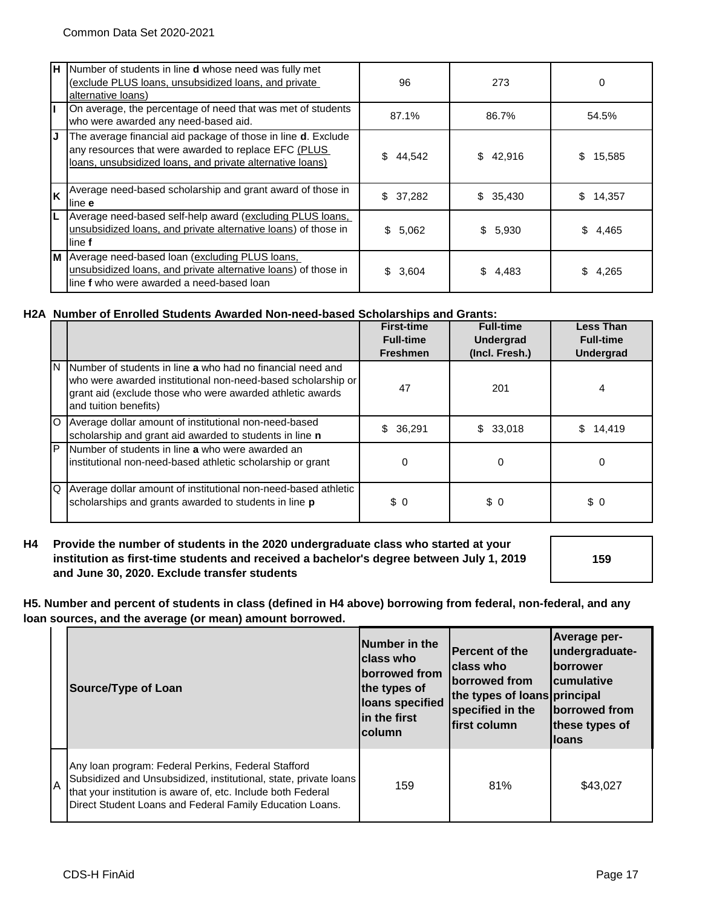| H  | Number of students in line <b>d</b> whose need was fully met<br>(exclude PLUS loans, unsubsidized loans, and private<br>alternative loans)                                                 | 96           | 273         | 0            |
|----|--------------------------------------------------------------------------------------------------------------------------------------------------------------------------------------------|--------------|-------------|--------------|
|    | On average, the percentage of need that was met of students<br>who were awarded any need-based aid.                                                                                        | 87.1%        | 86.7%       | 54.5%        |
| IJ | The average financial aid package of those in line <b>d</b> . Exclude<br>any resources that were awarded to replace EFC (PLUS<br>loans, unsubsidized loans, and private alternative loans) | \$<br>44,542 | \$42,916    | \$<br>15,585 |
| lĸ | Average need-based scholarship and grant award of those in<br>line e                                                                                                                       | \$37,282     | \$35,430    | \$14,357     |
|    | Average need-based self-help award (excluding PLUS loans,<br>unsubsidized loans, and private alternative loans) of those in<br>line f                                                      | \$5,062      | \$5,930     | \$.<br>4,465 |
|    | M Average need-based loan (excluding PLUS loans,<br>unsubsidized loans, and private alternative loans) of those in<br>line f who were awarded a need-based loan                            | \$3,604      | \$<br>4,483 | 4,265        |

#### **H2A Number of Enrolled Students Awarded Non-need-based Scholarships and Grants:**

|   |                                                                                                                                                                                                                    | <b>First-time</b><br><b>Full-time</b><br><b>Freshmen</b> | <b>Full-time</b><br><b>Undergrad</b><br>(Incl. Fresh.) | <b>Less Than</b><br><b>Full-time</b><br><b>Undergrad</b> |
|---|--------------------------------------------------------------------------------------------------------------------------------------------------------------------------------------------------------------------|----------------------------------------------------------|--------------------------------------------------------|----------------------------------------------------------|
|   | N Number of students in line a who had no financial need and<br>who were awarded institutional non-need-based scholarship or<br>grant aid (exclude those who were awarded athletic awards<br>and tuition benefits) | 47                                                       | 201                                                    | 4                                                        |
|   | O Average dollar amount of institutional non-need-based<br>scholarship and grant aid awarded to students in line n                                                                                                 | \$36,291                                                 | \$33,018                                               | 14,419                                                   |
| P | Number of students in line a who were awarded an<br>institutional non-need-based athletic scholarship or grant                                                                                                     | 0                                                        | 0                                                      | 0                                                        |
|   | Q Average dollar amount of institutional non-need-based athletic<br>scholarships and grants awarded to students in line p                                                                                          | \$0                                                      | \$0                                                    | \$0                                                      |

#### **H4 Provide the number of students in the 2020 undergraduate class who started at your institution as first-time students and received a bachelor's degree between July 1, 2019 and June 30, 2020. Exclude transfer students**

**159**

**H5. Number and percent of students in class (defined in H4 above) borrowing from federal, non-federal, and any loan sources, and the average (or mean) amount borrowed.**

|    | Source/Type of Loan                                                                                                                                                                                                                                 | Number in the<br><b>Iclass who</b><br>borrowed from<br>the types of<br>loans specified<br>lin the first<br><b>column</b> | <b>Percent of the</b><br>Iclass who<br><b>Iborrowed from</b><br>the types of loans principal<br>specified in the<br>lfirst column | Average per-<br>undergraduate-<br><b>Iborrower</b><br><b>I</b> cumulative<br>borrowed from<br>these types of<br><b>Iloans</b> |
|----|-----------------------------------------------------------------------------------------------------------------------------------------------------------------------------------------------------------------------------------------------------|--------------------------------------------------------------------------------------------------------------------------|-----------------------------------------------------------------------------------------------------------------------------------|-------------------------------------------------------------------------------------------------------------------------------|
| ΙA | Any Ioan program: Federal Perkins, Federal Stafford<br>Subsidized and Unsubsidized, institutional, state, private loans<br>that your institution is aware of, etc. Include both Federal<br>Direct Student Loans and Federal Family Education Loans. | 159                                                                                                                      | 81%                                                                                                                               | \$43.027                                                                                                                      |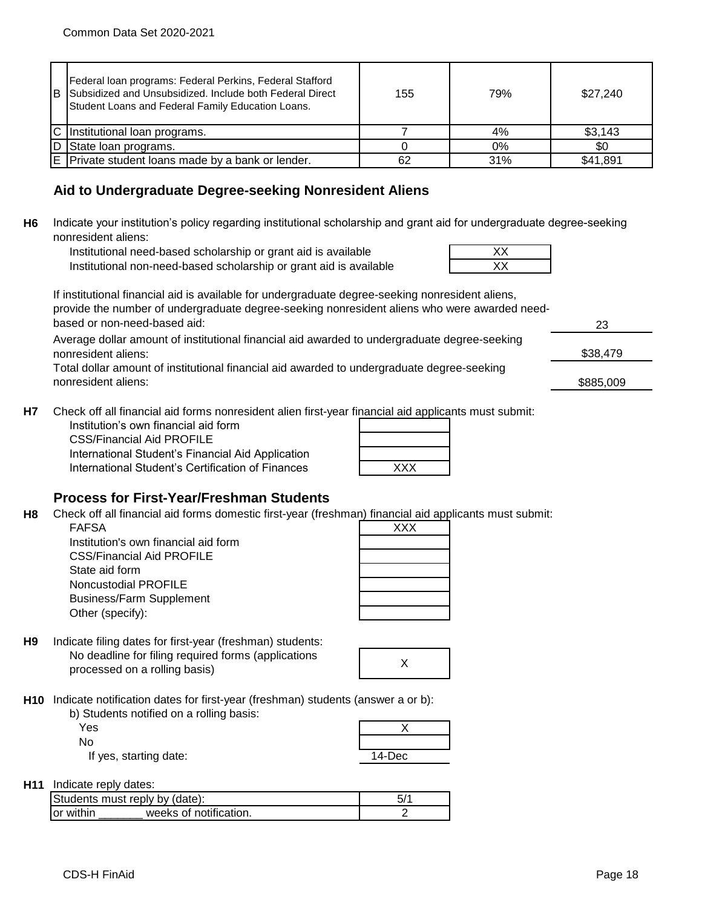| Federal Ioan programs: Federal Perkins, Federal Stafford<br>B Subsidized and Unsubsidized. Include both Federal Direct<br>Student Loans and Federal Family Education Loans. | 155 | 79% | \$27,240 |
|-----------------------------------------------------------------------------------------------------------------------------------------------------------------------------|-----|-----|----------|
| IC Institutional loan programs.                                                                                                                                             |     | 4%  | \$3,143  |
| D State loan programs.                                                                                                                                                      |     | 0%  | \$0      |
| E Private student loans made by a bank or lender.                                                                                                                           | 62  | 31% | \$41,891 |

## **Aid to Undergraduate Degree-seeking Nonresident Aliens**

**H6** Indicate your institution's policy regarding institutional scholarship and grant aid for undergraduate degree-seeking nonresident aliens:

Institutional need-based scholarship or grant aid is available Institutional non-need-based scholarship or grant aid is available

If institutional financial aid is available for undergraduate degree-seeking nonresident aliens, provide the number of undergraduate degree-seeking nonresident aliens who were awarded needbased or non-need-based aid:

Average dollar amount of institutional financial aid awarded to undergraduate degree-seeking nonresident aliens:

Total dollar amount of institutional financial aid awarded to undergraduate degree-seeking nonresident aliens:

**H7** Check off all financial aid forms nonresident alien first-year financial aid applicants must submit:

Institution's own financial aid form CSS/Financial Aid PROFILE International Student's Financial Aid Application International Student's Certification of Finances

| <b>XXX</b> |  |
|------------|--|

## **Process for First-Year/Freshman Students**

**H8** Check off all financial aid forms domestic first-year (freshman) financial aid applicants must submit:

FAFSA XXX Institution's own financial aid form CSS/Financial Aid PROFILE State aid form Noncustodial PROFILE Business/Farm Supplement Other (specify):

|  | $\overline{XXX}$ |  |  |
|--|------------------|--|--|
|  |                  |  |  |
|  |                  |  |  |
|  |                  |  |  |
|  |                  |  |  |
|  |                  |  |  |
|  |                  |  |  |

**H9** No deadline for filing required forms (applications processed on a rolling basis) <sup>X</sup> Indicate filing dates for first-year (freshman) students:

**H10** Indicate notification dates for first-year (freshman) students (answer a or b):

| b) Students notified on a rolling basis: |  |
|------------------------------------------|--|
| Yes                                      |  |
| No                                       |  |
|                                          |  |

If yes, starting date: 14-Dec

| H11 | Indicate reply dates: |
|-----|-----------------------|
|-----|-----------------------|

| Students must reply by (date): |                        | 5/ |
|--------------------------------|------------------------|----|
| or within                      | weeks of notification. |    |

| 23       |  |
|----------|--|
| \$38,479 |  |

\$885,009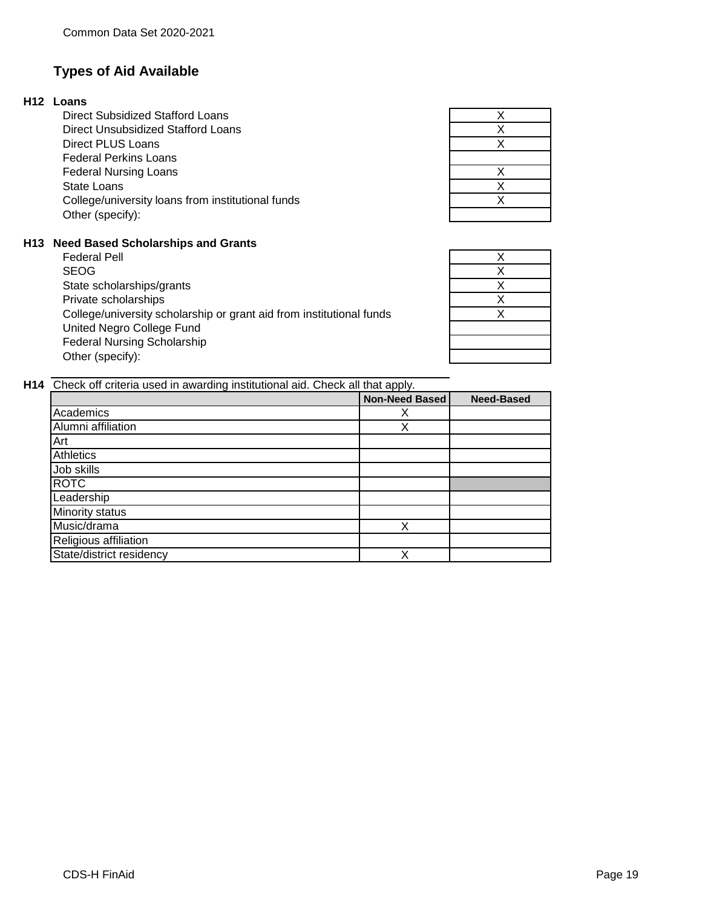## **Types of Aid Available**

#### **H12 Loans**

Federal Nursing Loans State Loans College/university loans from institutional funds Federal Perkins Loans Direct Subsidized Stafford Loans Direct Unsubsidized Stafford Loans Direct PLUS Loans Other (specify):

#### **H13 Need Based Scholarships and Grants**

United Negro College Fund Federal Nursing Scholarship Other (specify): Federal Pell SEOG State scholarships/grants Private scholarships College/university scholarship or grant aid from institutional funds

| Χ                       |  |
|-------------------------|--|
| X                       |  |
| $\overline{\mathsf{x}}$ |  |
|                         |  |
| Χ                       |  |
| X                       |  |
| X                       |  |
|                         |  |

| X                       |  |
|-------------------------|--|
| X                       |  |
| $\overline{\mathsf{x}}$ |  |
| Χ                       |  |
| $\overline{\mathsf{x}}$ |  |
|                         |  |
|                         |  |
|                         |  |

**H14** Check off criteria used in awarding institutional aid. Check all that apply.

| <u>. </u>             |                   |
|-----------------------|-------------------|
| <b>Non-Need Based</b> | <b>Need-Based</b> |
| х                     |                   |
| Х                     |                   |
|                       |                   |
|                       |                   |
|                       |                   |
|                       |                   |
|                       |                   |
|                       |                   |
| Х                     |                   |
|                       |                   |
| Χ                     |                   |
|                       |                   |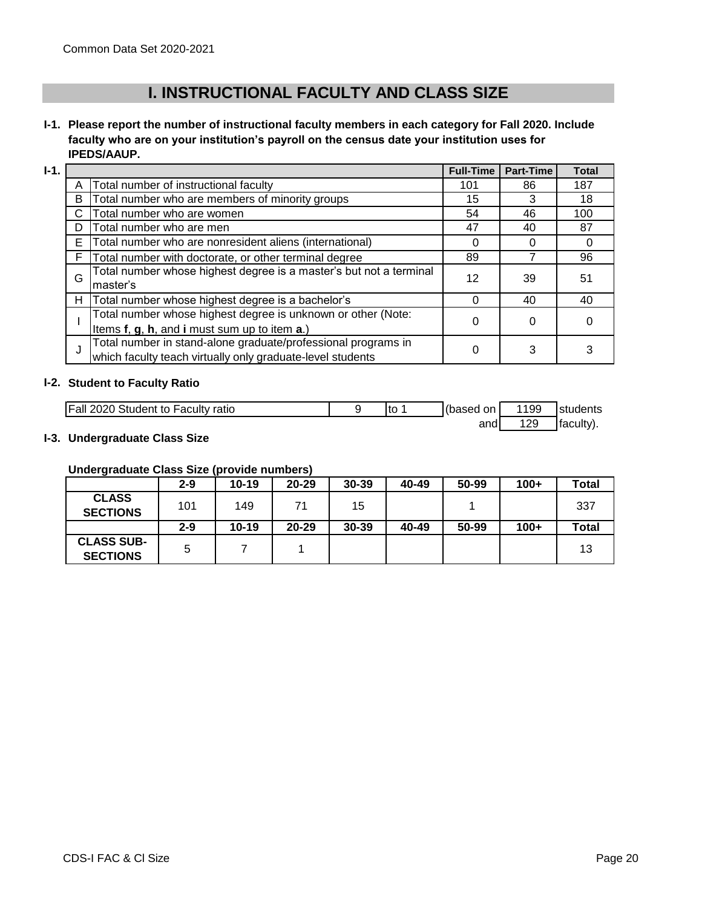# **I. INSTRUCTIONAL FACULTY AND CLASS SIZE**

## **I-1. Please report the number of instructional faculty members in each category for Fall 2020. Include faculty who are on your institution's payroll on the census date your institution uses for IPEDS/AAUP.**

| <b>I-1.</b> |   |                                                                                                                             | <b>Full-Time</b> | <b>Part-Time</b> | <b>Total</b> |
|-------------|---|-----------------------------------------------------------------------------------------------------------------------------|------------------|------------------|--------------|
|             |   | Total number of instructional faculty                                                                                       | 101              | 86               | 187          |
|             | B | Total number who are members of minority groups                                                                             | 15               | 3                | 18           |
|             | С | Total number who are women                                                                                                  | 54               | 46               | 100          |
|             | D | Total number who are men                                                                                                    | 47               | 40               | 87           |
|             | E | Total number who are nonresident aliens (international)                                                                     | ი                | 0                |              |
|             |   | Total number with doctorate, or other terminal degree                                                                       | 89               |                  | 96           |
|             | G | Total number whose highest degree is a master's but not a terminal<br>master's                                              | 12               | 39               | 51           |
|             | H | Total number whose highest degree is a bachelor's                                                                           | 0                | 40               | 40           |
|             |   | Total number whose highest degree is unknown or other (Note:<br>Items f, g, h, and i must sum up to item a.)                | 0                | 0                |              |
|             | J | Total number in stand-alone graduate/professional programs in<br>which faculty teach virtually only graduate-level students | 0                | 3                |              |

### **I-2. Student to Faculty Ratio**

| <b>Fall 2020 Student to Faculty ratio</b> | Ito | r(based on I | 1199       | students |
|-------------------------------------------|-----|--------------|------------|----------|
|                                           |     | and          | 120<br>⊧∠ສ | faculty) |

#### **I-3. Undergraduate Class Size**

#### **Undergraduate Class Size (provide numbers)**

| -                                    | $2 - 9$ | $10 - 19$ | $20 - 29$ | 30-39 | 40-49 | 50-99 | $100+$ | Total |
|--------------------------------------|---------|-----------|-----------|-------|-------|-------|--------|-------|
| <b>CLASS</b><br><b>SECTIONS</b>      | 101     | 149       | 71        | 15    |       |       |        | 337   |
|                                      | $2 - 9$ | $10 - 19$ | $20 - 29$ | 30-39 | 40-49 | 50-99 | $100+$ | Total |
| <b>CLASS SUB-</b><br><b>SECTIONS</b> | 5       |           |           |       |       |       |        | 13    |